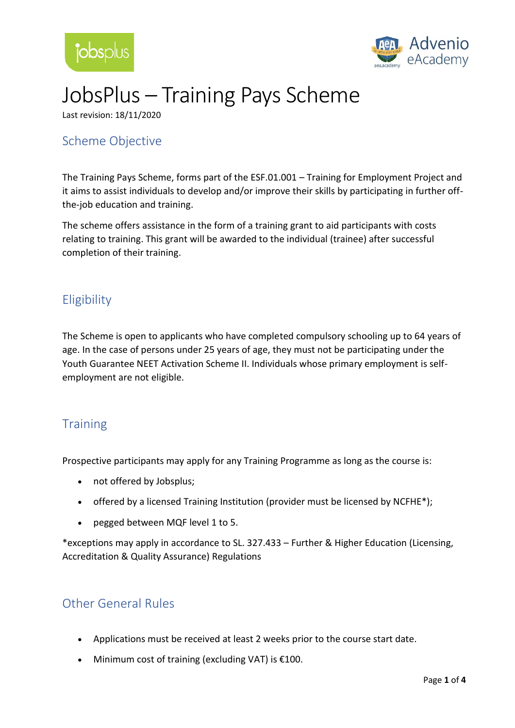



# JobsPlus – Training Pays Scheme

Last revision: 18/11/2020

### Scheme Objective

The Training Pays Scheme, forms part of the ESF.01.001 – Training for Employment Project and it aims to assist individuals to develop and/or improve their skills by participating in further offthe-job education and training.

The scheme offers assistance in the form of a training grant to aid participants with costs relating to training. This grant will be awarded to the individual (trainee) after successful completion of their training.

# **Eligibility**

The Scheme is open to applicants who have completed compulsory schooling up to 64 years of age. In the case of persons under 25 years of age, they must not be participating under the Youth Guarantee NEET Activation Scheme II. Individuals whose primary employment is selfemployment are not eligible.

#### **Training**

Prospective participants may apply for any Training Programme as long as the course is:

- not offered by Jobsplus;
- offered by a licensed Training Institution (provider must be licensed by NCFHE\*);
- pegged between MQF level 1 to 5.

\*exceptions may apply in accordance to SL. 327.433 – Further & Higher Education (Licensing, Accreditation & Quality Assurance) Regulations

#### Other General Rules

- Applications must be received at least 2 weeks prior to the course start date.
- Minimum cost of training (excluding VAT) is €100.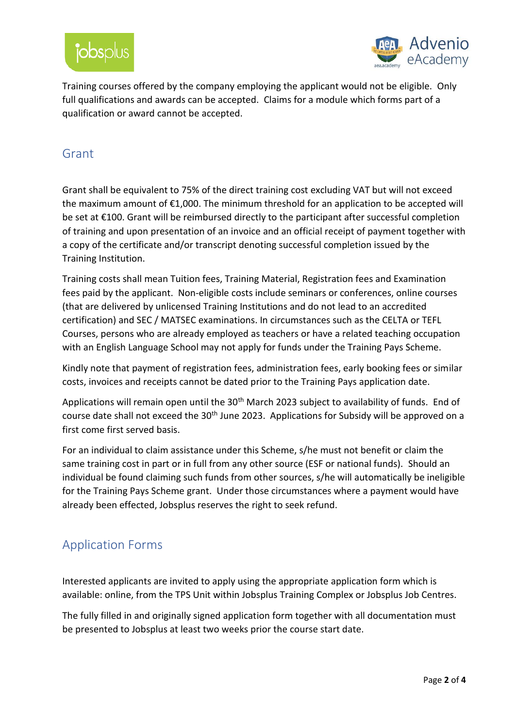



Training courses offered by the company employing the applicant would not be eligible.Only full qualifications and awards can be accepted. Claims for a module which forms part of a qualification or award cannot be accepted.

#### Grant

Grant shall be equivalent to 75% of the direct training cost excluding VAT but will not exceed the maximum amount of €1,000. The minimum threshold for an application to be accepted will be set at €100. Grant will be reimbursed directly to the participant after successful completion of training and upon presentation of an invoice and an official receipt of payment together with a copy of the certificate and/or transcript denoting successful completion issued by the Training Institution.

Training costs shall mean Tuition fees, Training Material, Registration fees and Examination fees paid by the applicant. Non-eligible costs include seminars or conferences, online courses (that are delivered by unlicensed Training Institutions and do not lead to an accredited certification) and SEC / MATSEC examinations. In circumstances such as the CELTA or TEFL Courses, persons who are already employed as teachers or have a related teaching occupation with an English Language School may not apply for funds under the Training Pays Scheme.

Kindly note that payment of registration fees, administration fees, early booking fees or similar costs, invoices and receipts cannot be dated prior to the Training Pays application date.

Applications will remain open until the 30<sup>th</sup> March 2023 subject to availability of funds. End of course date shall not exceed the 30<sup>th</sup> June 2023. Applications for Subsidy will be approved on a first come first served basis.

For an individual to claim assistance under this Scheme, s/he must not benefit or claim the same training cost in part or in full from any other source (ESF or national funds). Should an individual be found claiming such funds from other sources, s/he will automatically be ineligible for the Training Pays Scheme grant. Under those circumstances where a payment would have already been effected, Jobsplus reserves the right to seek refund.

# Application Forms

Interested applicants are invited to apply using the appropriate application form which is available: online, from the TPS Unit within Jobsplus Training Complex or Jobsplus Job Centres.

The fully filled in and originally signed application form together with all documentation must be presented to Jobsplus at least two weeks prior the course start date.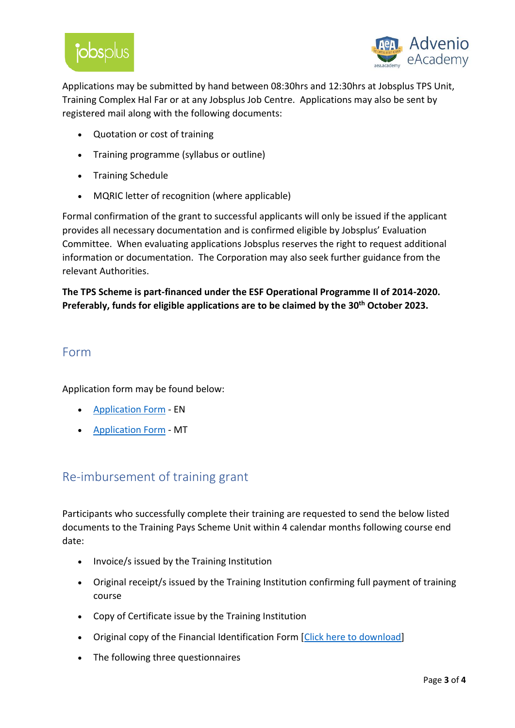



Applications may be submitted by hand between 08:30hrs and 12:30hrs at Jobsplus TPS Unit, Training Complex Hal Far or at any Jobsplus Job Centre. Applications may also be sent by registered mail along with the following documents:

- Quotation or cost of training
- Training programme (syllabus or outline)
- Training Schedule
- MQRIC letter of recognition (where applicable)

Formal confirmation of the grant to successful applicants will only be issued if the applicant provides all necessary documentation and is confirmed eligible by Jobsplus' Evaluation Committee. When evaluating applications Jobsplus reserves the right to request additional information or documentation. The Corporation may also seek further guidance from the relevant Authorities.

**The TPS Scheme is part-financed under the ESF Operational Programme II of 2014-2020. Preferably, funds for eligible applications are to be claimed by the 30th October 2023.**

#### Form

Application form may be found below:

- **[Application Form](https://eforms.gov.mt/pdfforms.aspx?fid=wes111e) EN**
- [Application Form](https://eforms.gov.mt/pdfforms.aspx?fid=wes111m) MT

# Re-imbursement of training grant

Participants who successfully complete their training are requested to send the below listed documents to the Training Pays Scheme Unit within 4 calendar months following course end date:

- Invoice/s issued by the Training Institution
- Original receipt/s issued by the Training Institution confirming full payment of training course
- Copy of Certificate issue by the Training Institution
- Original copy of the Financial Identification Form [\[Click here to download\]](https://jobsplus.gov.mt/schemes-jobseekers/fileprovider.aspx?fileId=18516)
- The following three questionnaires